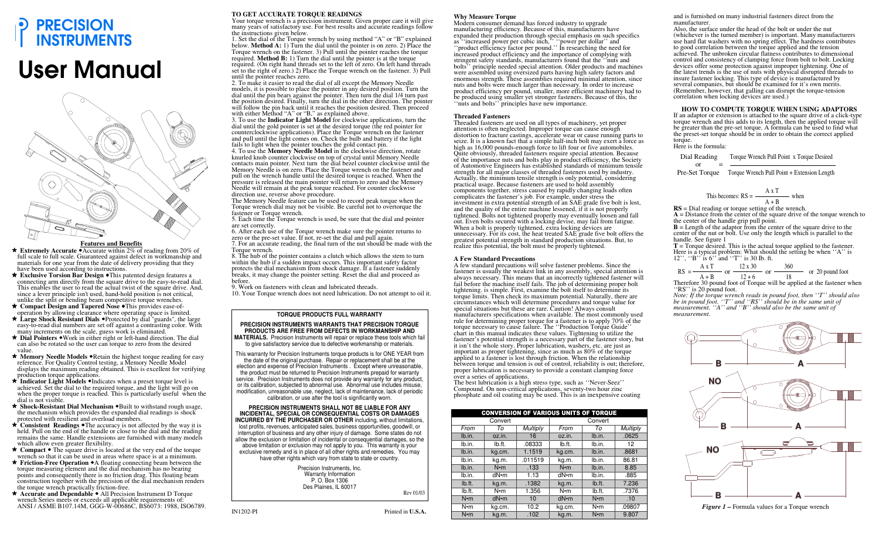

# User Manual



#### **Features and Benefits**

  **Extremely Accurate** Accurate within 2% of reading from 20% of full scale to full scale. Guaranteed against defect in workmanship and materials for one year from the date of delivery providing that they have been used according to instructions.

  **Exclusive Torsion Bar Design** This patented design features a connecting arm directly from the square drive to the easy-to-read dial. This enables the user to read the actual twist of the square drive. And, since a lever principle isn't used, hand-hold position is not critical, unlike the split or bending beam competitive torque wrenches.

  **Compact Design and Tapered Nose** This provides ease-ofoperation by allowing clearance where operating space is limited.

  **Large Shock Resistant Dials** Protected by dial "guards", the large easy-to-read dial numbers are set off against a contrasting color. With many increments on the scale, guess work is eliminated.

  **Dial Pointers** Work in either right or left-hand direction. The dial can also be rotated so the user can torque to zero from the desired value.

★ Memory Needle Models ◆Retain the highest torque reading for easy reference. For Quality Control testing, a Memory Needle Model displays the maximum reading obtained. This is excellent for verifying production torque applications.

**\*** Indicator Light Models •Indicates when a preset torque level is achieved. Set the dial to the required torque, and the light will go on when the proper torque is reached. This is particularly useful when the dial is not visible.

**★ Shock-Resistant Dial Mechanism ◆Built to withstand rough usage,** the mechanism which provides the expanded dial readings is shock protected with resilient and overload members.

**\*** Consistent Readings • The accuracy is not affected by the way it is held. Pull on the end of the handle or close to the dial and the reading remains the same. Handle extensions are furnished with many models which allow even greater flexibility.

**★ Compact •** The square drive is located at the very end of the torque wrench so that it can be used in areas where space is at a minimum.

**★ Friction-Free Operation ◆**A floating connecting beam between the torque measuring element and the dial mechanism has no bearing points and consequently there is no friction drag. This floating beam construction together with the precision of the dial mechanism renders the torque wrench practically friction-free.

★ **Accurate and Dependable** ◆ All Precision Instrument D Torque wrench Series meets or exceeds all applicable requirements of: ANSI / ASME B107.14M, GGG-W-00686C, BS6073: 1988, ISO6789.

## **TO GET ACCURATE TORQUE READINGS**

 Your torque wrench is a precision instrument. Given proper care it will give many years of satisfactory use. For best results and accurate readings follow the instructions given below. 1. Set the dial of the Torque wrench by using method "A" or "B" explained

 below. **Method A:** 1) Turn the dial until the pointer is on zero. 2) Place the Torque wrench on the fastener. 3) Pull until the pointer reaches the torque required. **Method B:** 1) Turn the dial until the pointer is at the torque

 required. (On right hand threads set to the left of zero. On left hand threads set to the right of zero.) 2) Place the Torque wrench on the fastener. 3) Pull until the pointer reaches zero. 2. To make it easier to read the dial of all except the Memory Needle

 models, it is possible to place the pointer in any desired position. Turn the dial until the pin bears against the pointer. Then turn the dial 1/4 turn past the position desired. Finally, turn the dial in the other direction. The pointer will follow the pin back until it reaches the position desired. Then proceed with either Method "A" or "B," as explained above.

 3. To use the **Indicator Light Model** for clockwise applications, turn the dial until the gold pointer is set at the desired torque (the red pointer for counterclockwise applications). Place the Torque wrench on the fastener and pull until the light comes on. Check the bulb and battery if the light fails to light when the pointer touches the gold contact pin.

 4. To use the **Memory Needle Model** in the clockwise direction, rotate knurled knob counter clockwise on top of crystal until Memory Needle contacts main pointer. Next turn the dial bezel counter clockwise until the Memory Needle is on zero. Place the Torque wrench on the fastener and pull on the wrench handle until the desired torque is reached. When the pressure is released the main pointer will return to zero and the Memory Needle will remain at the peak torque reached. For counter clockwise direction use, reverse above procedure.

 The Memory Needle feature can be used to record peak torque when the Torque wrench dial may not be visible. Be careful not to overtorque the fastener or Torque wrench.

 5. Each time the Torque wrench is used, be sure that the dial and pointer are set correctly.

 6. After each use of the Torque wrench make sure the pointer returns to zero or the pre-set value. If not, re-set the dial and pull again. 7. For an accurate reading, the final turn of the nut should be made with the

Torque wrench. 8. The hub of the pointer contains a clutch which allows the stem to turn within the hub if a sudden impact occurs. This important safety factor

 protects the dial mechanism from shock damage. If a fastener suddenly breaks, it may change the pointer setting. Reset the dial and proceed as before.

9. Work on fasteners with clean and lubricated threads.

10. Your Torque wrench does not need lubrication. Do not attempt to oil it.

#### **TORQUE PRODUCTS FULL WARRANTY**

**PRECISION INSTRUMENTS WARRANTS THAT PRECISION TORQUE PRODUCTS ARE FREE FROM DEFECTS IN WORKMANSHIP AND MATERIALS.** Precision Instruments will repair or replace these tools which fail to give satisfactory service due to defective workmanship or materials.

This warranty for Precision Instruments torque products is for ONE YEAR from the date of the original purchase. Repair or replacement shall be at the election and expense of Precision Instruments . Except where unreasonable, the product must be returned to Precision Instruments prepaid for warranty service. Precision Instruments does not provide any warranty for any product, or its calibration, subjected to abnormal use. Abnormal use includes misuse, modification, unreasonable use, neglect, lack of maintenance, lack of periodic calibration, or use after the tool is significantly worn.

**PRECISION INSTRUMENTS SHALL NOT BE LIABLE FOR ANY INCIDENTAL, SPECIAL OR CONSEQUENTIAL COSTS OR DAMAGES INCURRED BY THE PURCHASER OR OTHER** including, without limitations, lost profits, revenues, anticipated sales, business opportunities, goodwill, or interruption of business and any other injury of damage. Some states do not allow the exclusion or limitation of incidental or consequential damages, so the above limitation or exclusion may not apply to you. This warranty is your exclusive remedy and is in place of all other rights and remedies. You may have other rights which vary from state to state or country.

> Precision Instruments, Inc. Warranty Information P. O. Box 1306 Des Plaines, IL 60017

Rev 01/03

#### **Why Measure Torque**

 Modern consumer demand has forced industry to upgrade manufacturing efficiency. Because of this, manufacturers have expanded their production through special emphasis on such specifics as ''increased power per cubic inch,'' ''power per dollar'' and ''product efficiency factor per pound.'' In researching the need for increased product efficiency and the importance of complying with stringent safety standards, manufacturers found that the ''nuts and bolts'' principle needed special attention. Older products and machines were assembled using oversized parts having high safety factors and enormous strength. These assemblies required minimal attention, since nuts and bolts were much larger than necessary. In order to increase product efficiency per pound, smaller, more efficient machinery had to be produced using smaller yet stronger fasteners. Because of this, the ''nuts and bolts'' principles have new importance.

#### **Threaded Fasteners**

 Threaded fasteners are used on all types of machinery, yet proper attention is often neglected. Improper torque can cause enough distortion to fracture castings, accelerate wear or cause running parts to seize. It is a known fact that a simple half-inch bolt may exert a force as high as 16,000 pounds-enough force to lift four or five automobiles. Quite obviously, threaded fasteners require special attention. Because of the importance nuts and bolts play in product efficiency, the Society of Automotive Engineers has established standards of minimum tensile strength for all major classes of threaded fasteners used by industry. Actually, the minimum tensile strength is only potential, considering practical usage. Because fasteners are used to hold assembly components together, stress caused by rapidly changing loads often complicates the fastener's job. For example, under stress the investment in extra potential strength of an SAE grade five bolt is lost, and the quality of the entire machine lessened, if it is not properly tightened. Bolts not tightened properly may eventually loosen and fall out. Even bolts secured with a locking devise, may fail from fatigue. When a bolt is properly tightened, extra locking devices are unnecessary. For its cost, the heat treated SAE grade five bolt offers the greatest potential strength in standard production situations. But, to realize this potential, the bolt must be properly tightened.

### **A Few Standard Precautions**

 A few standard precautions will solve fastener problems. Since the fastener is usually the weakest link in any assembly, special attention is always necessary. This means that an incorrectly tightened fastener will fail before the machine itself fails. The job of determining proper bolt tightening. is simple. First, examine the bolt itself to determine its torque limits. Then check its maximum potential. Naturally, there are circumstances which will determine procedures and torque value for special situations but these are rare. Caution! Always consult manufacturers specifications when available. The most commonly used rule for determining proper torque for a fastener is to apply 70% of the torque necessary to cause failure. The ''Production Torque Guide'' chart in this manual indicates these values. Tightening to utilize the fastener's potential strength is a necessary part of the fastener story, but it isn't the whole story. Proper lubrication, washers, etc. are just as important as proper tightening, since as much as 80% of the torque applied to a fastener is lost through friction. When the relationship between torque and tension is out of control, reliability is out; therefore, proper lubrication is necessary to provide a constant clamping force over a series of applications.

 The best lubrication is a high stress type, such as ''Never-Seez'' Compound. On non-critical applications, seventy-two hour zinc phosphate and oil coating may be used. This is an inexpensive coating

| <b>CONVERSION OF VARIOUS UNITS OF TORQUE</b> |              |                 |              |             |        |  |  |  |  |  |  |  |
|----------------------------------------------|--------------|-----------------|--------------|-------------|--------|--|--|--|--|--|--|--|
|                                              | Convert      |                 | Convert      |             |        |  |  |  |  |  |  |  |
| From                                         | Tο           | <b>Multiply</b> | From         | То          |        |  |  |  |  |  |  |  |
| Ib.in.                                       | oz.in.       | 16              | oz.in.       | lb.in.      | .0625  |  |  |  |  |  |  |  |
| lb.in.                                       | Ib.ft.       | .08333          | lb.ft.       | lb.in.      | 12     |  |  |  |  |  |  |  |
| Ib.in.                                       | kg.cm.       | 1.1519          | kg.cm.       | Ib.in.      | .8681  |  |  |  |  |  |  |  |
| lb.in.                                       | kg.m.        | .011519         | kg.m.        | lb.in.      | 86.81  |  |  |  |  |  |  |  |
| Ib.in.                                       | $N \cdot m$  | .133            | $N \cdot m$  | Ib.in.      | 8.85   |  |  |  |  |  |  |  |
| lb.in.                                       | dN•m         | 1.13            | dN•m         | lb.in.      | .885   |  |  |  |  |  |  |  |
| lb.ft.                                       | kg.m.        | .1382           | kg.m.        | Ib.ft.      | 7.236  |  |  |  |  |  |  |  |
| Ib.ft.                                       | $N \cdot m$  | 1.356           | N•m          | Ib.ft.      | .7376  |  |  |  |  |  |  |  |
| $N \cdot m$                                  | $dN \cdot m$ | 10              | $dN \cdot m$ | $N \cdot m$ | .10    |  |  |  |  |  |  |  |
| $N \cdot m$                                  | kg.cm.       | 10.2            | kg.cm.       | $N \cdot m$ | .09807 |  |  |  |  |  |  |  |
| $N \cdot m$                                  | kg.m.        | .102            | kg.m.        | $N \cdot m$ | 9.807  |  |  |  |  |  |  |  |

and is furnished on many industrial fasteners direct from the manufacturer.

 Also, the surface under the head of the bolt or under the nut (whichever is the turned member) is important. Many manufacturers use hard flat washers with no spring effect. The hardness contributes to good correlation between the torque applied and the tension achieved. The unbroken circular flatness contributes to dimensional control and consistency of clamping force from bolt to bolt. Locking devices offer some protection against improper tightening. One of the latest trends is the use of nuts with physical disrupted threads to insure fastener locking. This type of device is manufactured by several companies, but should be examined for it's own merits. (Remember, however, that galling can disrupt the torque-tension correlation when locking devices are used.)

**HOW TO COMPUTE TORQUE WHEN USlNG ADAPTORS**  If an adaptor or extension is attached to the square drive of a click-type torque wrench and this adds to its length, then the applied torque will be greater than the pre-set torque. A formula can be used to find what the preset-set torque should be in order to obtain the correct applied torque. Here is the formula:

 Dial Reading . Torque Wrench Pull Point x Torque Desired $\alpha$ r

Pre-Set Torque Torque Wrench Pull Point + Extension Length

This becomes: 
$$
RS = \frac{A \times T}{A + B}
$$
 when

 **RS** = Dial reading or torque setting of the wrench. **A** = Distance from the center of the square drive of the torque wrench to the center of the handle grip pull point. **B** = Length of the adaptor from the center of the square drive to the

 center of the nut or bolt. Use only the length which is parallel to the handle. See figure 1

 **T** = Torque desired. This is the actual torque applied to the fastener. Here is a typical problem: What should the setting be when "A" is  $12''$ , "B" is 6" and "T" is 30 Ib. ft.

RS = 
$$
\frac{A \times T}{A + B}
$$
 or  $\frac{12 \times 30}{12 + 6}$  or  $\frac{360}{18}$  or 20 pound foot

RS =  $\frac{A+B}{A+B}$  or  $\frac{12+6}{12+6}$  or  $\frac{18}{18}$  or 20 pound foot<br>Therefore 30 pound foot of Torque will be applied at the fastener when "RS" is 20 pound foot.

 *Note: If the torque wrench reads in pound foot, then ''T'' should also be in pound foot. ''T'' and ''RS'' should be in the same unit of measurement. ''A'' and ''B'' should also be the same unit of measurement.* 



*Figure 1 –* Formula values for a Torque wrench